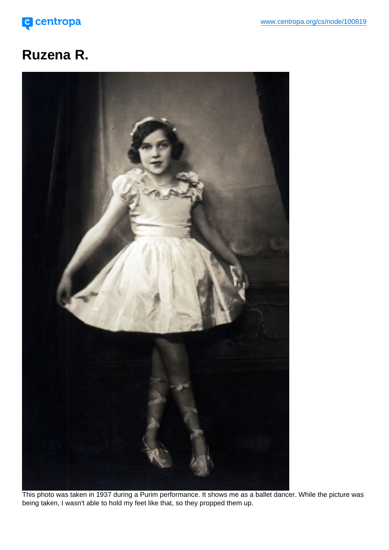## Ruzena R.

This photo was taken in 1937 during a Purim performance. It shows me as a ballet dancer. While the picture was being taken, I wasn't able to hold my feet like that, so they propped them up.